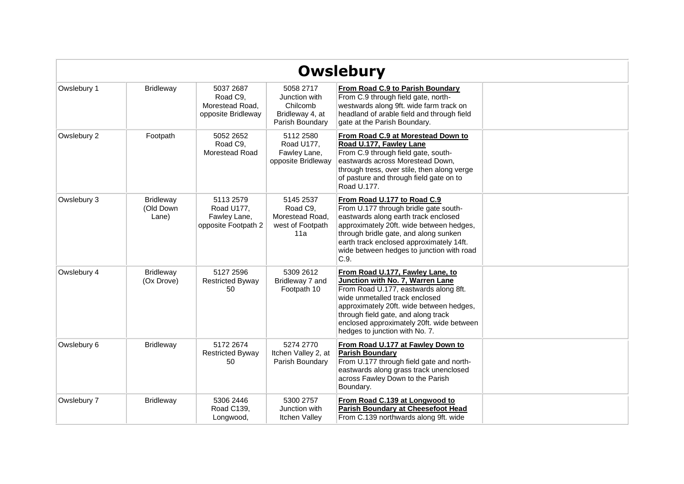|             |                                        |                                                                |                                                                              | <b>Owslebury</b>                                                                                                                                                                                                                                                                                                  |  |
|-------------|----------------------------------------|----------------------------------------------------------------|------------------------------------------------------------------------------|-------------------------------------------------------------------------------------------------------------------------------------------------------------------------------------------------------------------------------------------------------------------------------------------------------------------|--|
| Owslebury 1 | <b>Bridleway</b>                       | 5037 2687<br>Road C9,<br>Morestead Road,<br>opposite Bridleway | 5058 2717<br>Junction with<br>Chilcomb<br>Bridleway 4, at<br>Parish Boundary | From Road C.9 to Parish Boundary<br>From C.9 through field gate, north-<br>westwards along 9ft. wide farm track on<br>headland of arable field and through field<br>gate at the Parish Boundary.                                                                                                                  |  |
| Owslebury 2 | Footpath                               | 5052 2652<br>Road C9,<br>Morestead Road                        | 5112 2580<br>Road U177,<br>Fawley Lane,<br>opposite Bridleway                | From Road C.9 at Morestead Down to<br>Road U.177, Fawley Lane<br>From C.9 through field gate, south-<br>eastwards across Morestead Down,<br>through tress, over stile, then along verge<br>of pasture and through field gate on to<br>Road U.177.                                                                 |  |
| Owslebury 3 | <b>Bridleway</b><br>(Old Down<br>Lane) | 5113 2579<br>Road U177,<br>Fawley Lane,<br>opposite Footpath 2 | 5145 2537<br>Road C9,<br>Morestead Road.<br>west of Footpath<br>11a          | From Road U.177 to Road C.9<br>From U.177 through bridle gate south-<br>eastwards along earth track enclosed<br>approximately 20ft. wide between hedges,<br>through bridle gate, and along sunken<br>earth track enclosed approximately 14ft.<br>wide between hedges to junction with road<br>C.9.                |  |
| Owslebury 4 | <b>Bridleway</b><br>(Ox Drove)         | 5127 2596<br><b>Restricted Byway</b><br>50                     | 5309 2612<br>Bridleway 7 and<br>Footpath 10                                  | From Road U.177, Fawley Lane, to<br>Junction with No. 7, Warren Lane<br>From Road U.177, eastwards along 8ft.<br>wide unmetalled track enclosed<br>approximately 20ft. wide between hedges,<br>through field gate, and along track<br>enclosed approximately 20ft. wide between<br>hedges to junction with No. 7. |  |
| Owslebury 6 | <b>Bridleway</b>                       | 5172 2674<br><b>Restricted Byway</b><br>50                     | 5274 2770<br>Itchen Valley 2, at<br>Parish Boundary                          | From Road U.177 at Fawley Down to<br><b>Parish Boundary</b><br>From U.177 through field gate and north-<br>eastwards along grass track unenclosed<br>across Fawley Down to the Parish<br>Boundary.                                                                                                                |  |
| Owslebury 7 | <b>Bridleway</b>                       | 5306 2446<br>Road C139,<br>Longwood,                           | 5300 2757<br>Junction with<br><b>Itchen Valley</b>                           | From Road C.139 at Longwood to<br>Parish Boundary at Cheesefoot Head<br>From C.139 northwards along 9ft. wide                                                                                                                                                                                                     |  |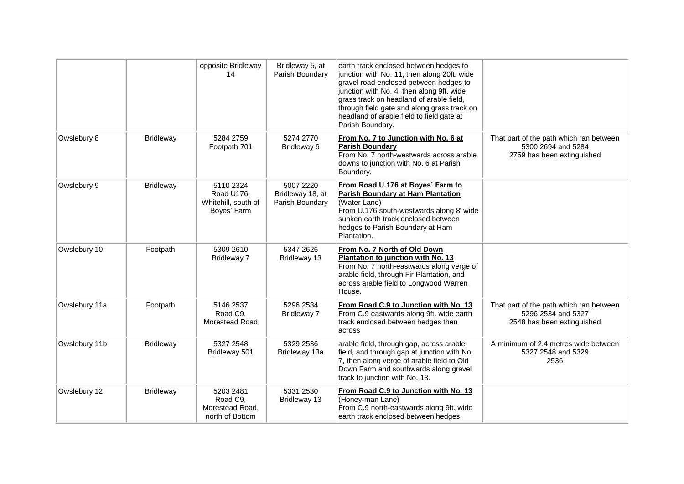|               |                  | opposite Bridleway<br>14                                      | Bridleway 5, at<br>Parish Boundary               | earth track enclosed between hedges to<br>junction with No. 11, then along 20ft. wide<br>gravel road enclosed between hedges to<br>junction with No. 4, then along 9ft. wide<br>grass track on headland of arable field,<br>through field gate and along grass track on<br>headland of arable field to field gate at<br>Parish Boundary. |                                                                                             |
|---------------|------------------|---------------------------------------------------------------|--------------------------------------------------|------------------------------------------------------------------------------------------------------------------------------------------------------------------------------------------------------------------------------------------------------------------------------------------------------------------------------------------|---------------------------------------------------------------------------------------------|
| Owslebury 8   | <b>Bridleway</b> | 5284 2759<br>Footpath 701                                     | 5274 2770<br>Bridleway 6                         | From No. 7 to Junction with No. 6 at<br><b>Parish Boundary</b><br>From No. 7 north-westwards across arable<br>downs to junction with No. 6 at Parish<br>Boundary.                                                                                                                                                                        | That part of the path which ran between<br>5300 2694 and 5284<br>2759 has been extinguished |
| Owslebury 9   | <b>Bridleway</b> | 5110 2324<br>Road U176,<br>Whitehill, south of<br>Boyes' Farm | 5007 2220<br>Bridleway 18, at<br>Parish Boundary | From Road U.176 at Boyes' Farm to<br><b>Parish Boundary at Ham Plantation</b><br>(Water Lane)<br>From U.176 south-westwards along 8' wide<br>sunken earth track enclosed between<br>hedges to Parish Boundary at Ham<br>Plantation.                                                                                                      |                                                                                             |
| Owslebury 10  | Footpath         | 5309 2610<br><b>Bridleway 7</b>                               | 5347 2626<br>Bridleway 13                        | From No. 7 North of Old Down<br>Plantation to junction with No. 13<br>From No. 7 north-eastwards along verge of<br>arable field, through Fir Plantation, and<br>across arable field to Longwood Warren<br>House.                                                                                                                         |                                                                                             |
| Owslebury 11a | Footpath         | 5146 2537<br>Road C9,<br>Morestead Road                       | 5296 2534<br>Bridleway 7                         | From Road C.9 to Junction with No. 13<br>From C.9 eastwards along 9ft. wide earth<br>track enclosed between hedges then<br>across                                                                                                                                                                                                        | That part of the path which ran between<br>5296 2534 and 5327<br>2548 has been extinguished |
| Owslebury 11b | <b>Bridleway</b> | 5327 2548<br>Bridleway 501                                    | 5329 2536<br>Bridleway 13a                       | arable field, through gap, across arable<br>field, and through gap at junction with No.<br>7, then along verge of arable field to Old<br>Down Farm and southwards along gravel<br>track to junction with No. 13.                                                                                                                         | A minimum of 2.4 metres wide between<br>5327 2548 and 5329<br>2536                          |
| Owslebury 12  | <b>Bridleway</b> | 5203 2481<br>Road C9,<br>Morestead Road,<br>north of Bottom   | 5331 2530<br>Bridleway 13                        | From Road C.9 to Junction with No. 13<br>(Honey-man Lane)<br>From C.9 north-eastwards along 9ft. wide<br>earth track enclosed between hedges,                                                                                                                                                                                            |                                                                                             |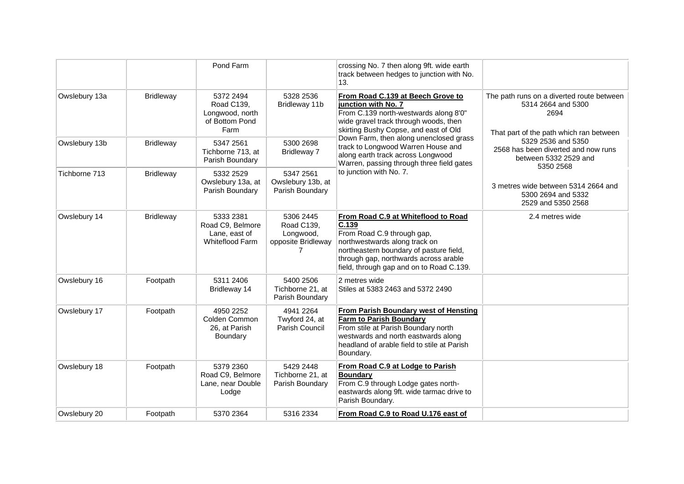|               |                  | Pond Farm                                                                |                                                                 | crossing No. 7 then along 9ft. wide earth<br>track between hedges to junction with No.<br>13.                                                                                                                                               |                                                                                                                    |
|---------------|------------------|--------------------------------------------------------------------------|-----------------------------------------------------------------|---------------------------------------------------------------------------------------------------------------------------------------------------------------------------------------------------------------------------------------------|--------------------------------------------------------------------------------------------------------------------|
| Owslebury 13a | <b>Bridleway</b> | 5372 2494<br>Road C139,<br>Longwood, north<br>of Bottom Pond<br>Farm     | 5328 2536<br>Bridleway 11b                                      | From Road C.139 at Beech Grove to<br>junction with No. 7<br>From C.139 north-westwards along 8'0"<br>wide gravel track through woods, then<br>skirting Bushy Copse, and east of Old                                                         | The path runs on a diverted route between<br>5314 2664 and 5300<br>2694<br>That part of the path which ran between |
| Owslebury 13b | <b>Bridleway</b> | 5347 2561<br>Tichborne 713, at<br>Parish Boundary                        | 5300 2698<br>Bridleway 7                                        | Down Farm, then along unenclosed grass<br>track to Longwood Warren House and<br>along earth track across Longwood<br>Warren, passing through three field gates                                                                              | 5329 2536 and 5350<br>2568 has been diverted and now runs<br>between 5332 2529 and<br>5350 2568                    |
| Tichborne 713 | <b>Bridleway</b> | 5332 2529<br>Owslebury 13a, at<br>Parish Boundary                        | 5347 2561<br>Owslebury 13b, at<br>Parish Boundary               | to junction with No. 7.                                                                                                                                                                                                                     | 3 metres wide between 5314 2664 and<br>5300 2694 and 5332<br>2529 and 5350 2568                                    |
| Owslebury 14  | <b>Bridleway</b> | 5333 2381<br>Road C9, Belmore<br>Lane, east of<br><b>Whiteflood Farm</b> | 5306 2445<br>Road C139,<br>Longwood,<br>opposite Bridleway<br>7 | From Road C.9 at Whiteflood to Road<br>C.139<br>From Road C.9 through gap,<br>northwestwards along track on<br>northeastern boundary of pasture field,<br>through gap, northwards across arable<br>field, through gap and on to Road C.139. | 2.4 metres wide                                                                                                    |
| Owslebury 16  | Footpath         | 5311 2406<br>Bridleway 14                                                | 5400 2506<br>Tichborne 21, at<br>Parish Boundary                | 2 metres wide<br>Stiles at 5383 2463 and 5372 2490                                                                                                                                                                                          |                                                                                                                    |
| Owslebury 17  | Footpath         | 4950 2252<br>Colden Common<br>26, at Parish<br>Boundary                  | 4941 2264<br>Twyford 24, at<br>Parish Council                   | From Parish Boundary west of Hensting<br><b>Farm to Parish Boundary</b><br>From stile at Parish Boundary north<br>westwards and north eastwards along<br>headland of arable field to stile at Parish<br>Boundary.                           |                                                                                                                    |
| Owslebury 18  | Footpath         | 5379 2360<br>Road C9, Belmore<br>Lane, near Double<br>Lodge              | 5429 2448<br>Tichborne 21, at<br>Parish Boundary                | From Road C.9 at Lodge to Parish<br><b>Boundary</b><br>From C.9 through Lodge gates north-<br>eastwards along 9ft. wide tarmac drive to<br>Parish Boundary.                                                                                 |                                                                                                                    |
| Owslebury 20  | Footpath         | 5370 2364                                                                | 5316 2334                                                       | From Road C.9 to Road U.176 east of                                                                                                                                                                                                         |                                                                                                                    |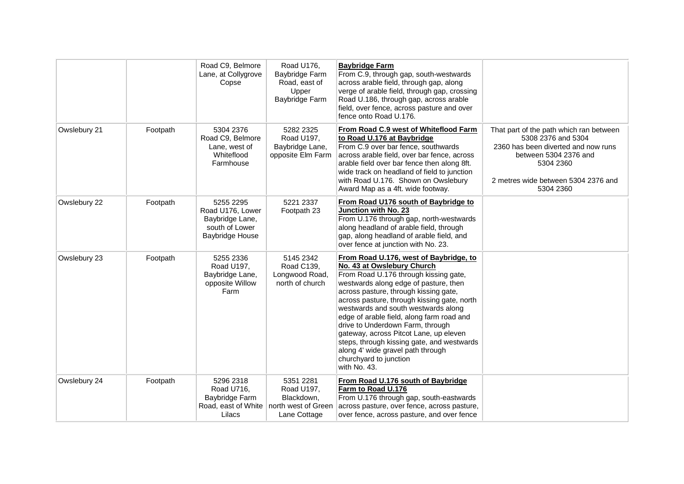|              |          | Road C9, Belmore<br>Lane, at Collygrove<br>Copse                                      | Road U176,<br>Baybridge Farm<br>Road, east of<br>Upper<br>Baybridge Farm     | <b>Baybridge Farm</b><br>From C.9, through gap, south-westwards<br>across arable field, through gap, along<br>verge of arable field, through gap, crossing<br>Road U.186, through gap, across arable<br>field, over fence, across pasture and over<br>fence onto Road U.176.                                                                                                                                                                                                                                                                  |                                                                                                                                                                                                |
|--------------|----------|---------------------------------------------------------------------------------------|------------------------------------------------------------------------------|-----------------------------------------------------------------------------------------------------------------------------------------------------------------------------------------------------------------------------------------------------------------------------------------------------------------------------------------------------------------------------------------------------------------------------------------------------------------------------------------------------------------------------------------------|------------------------------------------------------------------------------------------------------------------------------------------------------------------------------------------------|
| Owslebury 21 | Footpath | 5304 2376<br>Road C9, Belmore<br>Lane, west of<br>Whiteflood<br>Farmhouse             | 5282 2325<br>Road U197,<br>Baybridge Lane,<br>opposite Elm Farm              | From Road C.9 west of Whiteflood Farm<br>to Road U.176 at Baybridge<br>From C.9 over bar fence, southwards<br>across arable field, over bar fence, across<br>arable field over bar fence then along 8ft.<br>wide track on headland of field to junction<br>with Road U.176. Shown on Owslebury<br>Award Map as a 4ft. wide footway.                                                                                                                                                                                                           | That part of the path which ran between<br>5308 2376 and 5304<br>2360 has been diverted and now runs<br>between 5304 2376 and<br>5304 2360<br>2 metres wide between 5304 2376 and<br>5304 2360 |
| Owslebury 22 | Footpath | 5255 2295<br>Road U176, Lower<br>Baybridge Lane,<br>south of Lower<br>Baybridge House | 5221 2337<br>Footpath 23                                                     | From Road U176 south of Baybridge to<br>Junction with No. 23<br>From U.176 through gap, north-westwards<br>along headland of arable field, through<br>gap, along headland of arable field, and<br>over fence at junction with No. 23.                                                                                                                                                                                                                                                                                                         |                                                                                                                                                                                                |
| Owslebury 23 | Footpath | 5255 2336<br>Road U197,<br>Baybridge Lane,<br>opposite Willow<br>Farm                 | 5145 2342<br>Road C139,<br>Longwood Road,<br>north of church                 | From Road U.176, west of Baybridge, to<br>No. 43 at Owslebury Church<br>From Road U.176 through kissing gate,<br>westwards along edge of pasture, then<br>across pasture, through kissing gate,<br>across pasture, through kissing gate, north<br>westwards and south westwards along<br>edge of arable field, along farm road and<br>drive to Underdown Farm, through<br>gateway, across Pitcot Lane, up eleven<br>steps, through kissing gate, and westwards<br>along 4' wide gravel path through<br>churchyard to junction<br>with No. 43. |                                                                                                                                                                                                |
| Owslebury 24 | Footpath | 5296 2318<br>Road U716,<br>Baybridge Farm<br>Road, east of White<br>Lilacs            | 5351 2281<br>Road U197,<br>Blackdown,<br>north west of Green<br>Lane Cottage | From Road U.176 south of Baybridge<br>Farm to Road U.176<br>From U.176 through gap, south-eastwards<br>across pasture, over fence, across pasture,<br>over fence, across pasture, and over fence                                                                                                                                                                                                                                                                                                                                              |                                                                                                                                                                                                |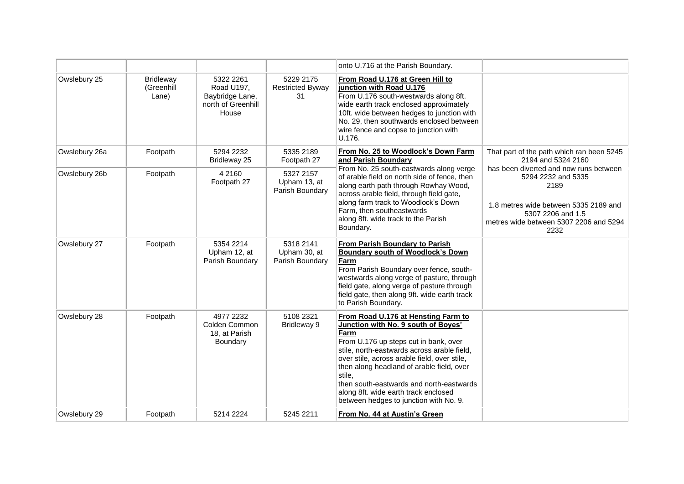|               |                                         |                                                                           |                                              | onto U.716 at the Parish Boundary.                                                                                                                                                                                                                                                                                                                                                                              |                                                                                                                                                                                      |
|---------------|-----------------------------------------|---------------------------------------------------------------------------|----------------------------------------------|-----------------------------------------------------------------------------------------------------------------------------------------------------------------------------------------------------------------------------------------------------------------------------------------------------------------------------------------------------------------------------------------------------------------|--------------------------------------------------------------------------------------------------------------------------------------------------------------------------------------|
| Owslebury 25  | <b>Bridleway</b><br>(Greenhill<br>Lane) | 5322 2261<br>Road U197,<br>Baybridge Lane,<br>north of Greenhill<br>House | 5229 2175<br><b>Restricted Byway</b><br>31   | From Road U.176 at Green Hill to<br>junction with Road U.176<br>From U.176 south-westwards along 8ft.<br>wide earth track enclosed approximately<br>10ft. wide between hedges to junction with<br>No. 29, then southwards enclosed between<br>wire fence and copse to junction with<br>U.176.                                                                                                                   |                                                                                                                                                                                      |
| Owslebury 26a | Footpath                                | 5294 2232<br>Bridleway 25                                                 | 5335 2189<br>Footpath 27                     | From No. 25 to Woodlock's Down Farm<br>and Parish Boundary                                                                                                                                                                                                                                                                                                                                                      | That part of the path which ran been 5245<br>2194 and 5324 2160                                                                                                                      |
| Owslebury 26b | Footpath                                | 4 2 1 6 0<br>Footpath 27                                                  | 5327 2157<br>Upham 13, at<br>Parish Boundary | From No. 25 south-eastwards along verge<br>of arable field on north side of fence, then<br>along earth path through Rowhay Wood,<br>across arable field, through field gate,<br>along farm track to Woodlock's Down<br>Farm, then southeastwards<br>along 8ft. wide track to the Parish<br>Boundary.                                                                                                            | has been diverted and now runs between<br>5294 2232 and 5335<br>2189<br>1.8 metres wide between 5335 2189 and<br>5307 2206 and 1.5<br>metres wide between 5307 2206 and 5294<br>2232 |
| Owslebury 27  | Footpath                                | 5354 2214<br>Upham 12, at<br>Parish Boundary                              | 5318 2141<br>Upham 30, at<br>Parish Boundary | From Parish Boundary to Parish<br><b>Boundary south of Woodlock's Down</b><br>Farm<br>From Parish Boundary over fence, south-<br>westwards along verge of pasture, through<br>field gate, along verge of pasture through<br>field gate, then along 9ft. wide earth track<br>to Parish Boundary.                                                                                                                 |                                                                                                                                                                                      |
| Owslebury 28  | Footpath                                | 4977 2232<br>Colden Common<br>18, at Parish<br>Boundary                   | 5108 2321<br>Bridleway 9                     | From Road U.176 at Hensting Farm to<br>Junction with No. 9 south of Boyes'<br>Farm<br>From U.176 up steps cut in bank, over<br>stile, north-eastwards across arable field,<br>over stile, across arable field, over stile,<br>then along headland of arable field, over<br>stile,<br>then south-eastwards and north-eastwards<br>along 8ft. wide earth track enclosed<br>between hedges to junction with No. 9. |                                                                                                                                                                                      |
| Owslebury 29  | Footpath                                | 5214 2224                                                                 | 5245 2211                                    | From No. 44 at Austin's Green                                                                                                                                                                                                                                                                                                                                                                                   |                                                                                                                                                                                      |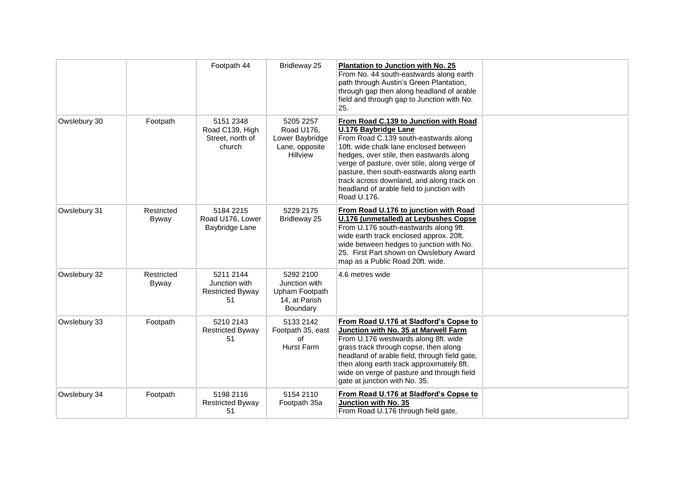|              |                     | Footpath 44                                                 | Bridleway 25                                                                    | Plantation to Junction with No. 25<br>From No. 44 south-eastwards along earth<br>path through Austin's Green Plantation,<br>through gap then along headland of arable<br>field and through gap to Junction with No.<br>25.                                                                                                                                                                                |  |
|--------------|---------------------|-------------------------------------------------------------|---------------------------------------------------------------------------------|-----------------------------------------------------------------------------------------------------------------------------------------------------------------------------------------------------------------------------------------------------------------------------------------------------------------------------------------------------------------------------------------------------------|--|
| Owslebury 30 | Footpath            | 5151 2348<br>Road C139, High<br>Street, north of<br>church  | 5205 2257<br>Road U176,<br>Lower Baybridge<br>Lane, opposite<br><b>Hillview</b> | From Road C.139 to Junction with Road<br><b>U.176 Baybridge Lane</b><br>From Road C.139 south-eastwards along<br>10ft, wide chalk lane enclosed between<br>hedges, over stile, then eastwards along<br>verge of pasture, over stile, along verge of<br>pasture, then south-eastwards along earth<br>track across downland, and along track on<br>headland of arable field to junction with<br>Road U.176. |  |
| Owslebury 31 | Restricted<br>Byway | 5184 2215<br>Road U176, Lower<br>Baybridge Lane             | 5229 2175<br>Bridleway 25                                                       | From Road U.176 to junction with Road<br><b>U.176 (unmetalled) at Leybushes Copse</b><br>From U.176 south-eastwards along 9ft.<br>wide earth track enclosed approx. 20ft.<br>wide between hedges to junction with No.<br>25. First Part shown on Owslebury Award<br>map as a Public Road 20ft. wide.                                                                                                      |  |
| Owslebury 32 | Restricted<br>Byway | 5211 2144<br>Junction with<br><b>Restricted Byway</b><br>51 | 5292 2100<br>Junction with<br>Upham Footpath<br>14, at Parish<br>Boundary       | 4.6 metres wide                                                                                                                                                                                                                                                                                                                                                                                           |  |
| Owslebury 33 | Footpath            | 5210 2143<br><b>Restricted Byway</b><br>51                  | 5133 2142<br>Footpath 35, east<br>Ωf<br>Hurst Farm                              | From Road U.176 at Sladford's Copse to<br>Junction with No. 35 at Marwell Farm<br>From U.176 westwards along 8ft. wide<br>grass track through copse, then along<br>headland of arable field, through field gate,<br>then along earth track approximately 8ft.<br>wide on verge of pasture and through field<br>gate at junction with No. 35.                                                              |  |
| Owslebury 34 | Footpath            | 5198 2116<br><b>Restricted Byway</b><br>51                  | 5154 2110<br>Footpath 35a                                                       | From Road U.176 at Sladford's Copse to<br>Junction with No. 35<br>From Road U.176 through field gate,                                                                                                                                                                                                                                                                                                     |  |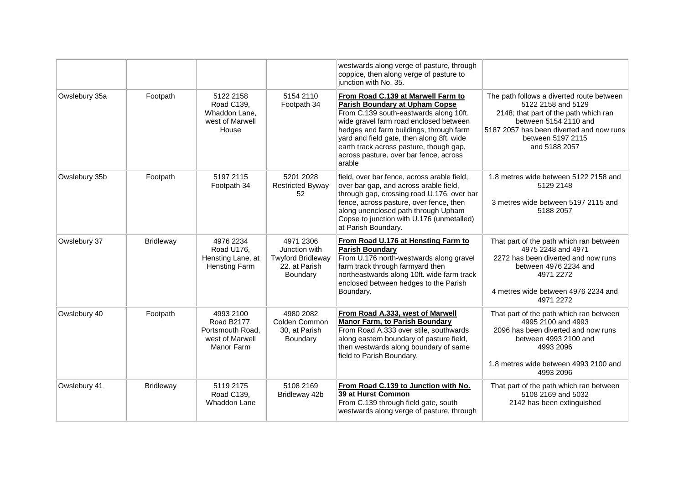|               |                  |                                                                               |                                                                                     | westwards along verge of pasture, through<br>coppice, then along verge of pasture to<br>junction with No. 35.                                                                                                                                                                                                                                   |                                                                                                                                                                                                                     |
|---------------|------------------|-------------------------------------------------------------------------------|-------------------------------------------------------------------------------------|-------------------------------------------------------------------------------------------------------------------------------------------------------------------------------------------------------------------------------------------------------------------------------------------------------------------------------------------------|---------------------------------------------------------------------------------------------------------------------------------------------------------------------------------------------------------------------|
| Owslebury 35a | Footpath         | 5122 2158<br>Road C139,<br>Whaddon Lane,<br>west of Marwell<br>House          | 5154 2110<br>Footpath 34                                                            | From Road C.139 at Marwell Farm to<br>Parish Boundary at Upham Copse<br>From C.139 south-eastwards along 10ft.<br>wide gravel farm road enclosed between<br>hedges and farm buildings, through farm<br>yard and field gate, then along 8ft. wide<br>earth track across pasture, though gap,<br>across pasture, over bar fence, across<br>arable | The path follows a diverted route between<br>5122 2158 and 5129<br>2148; that part of the path which ran<br>between 5154 2110 and<br>5187 2057 has been diverted and now runs<br>between 5197 2115<br>and 5188 2057 |
| Owslebury 35b | Footpath         | 5197 2115<br>Footpath 34                                                      | 5201 2028<br><b>Restricted Byway</b><br>52                                          | field, over bar fence, across arable field,<br>over bar gap, and across arable field,<br>through gap, crossing road U.176, over bar<br>fence, across pasture, over fence, then<br>along unenclosed path through Upham<br>Copse to junction with U.176 (unmetalled)<br>at Parish Boundary.                                                       | 1.8 metres wide between 5122 2158 and<br>5129 2148<br>3 metres wide between 5197 2115 and<br>5188 2057                                                                                                              |
| Owslebury 37  | <b>Bridleway</b> | 4976 2234<br>Road U176,<br>Hensting Lane, at<br><b>Hensting Farm</b>          | 4971 2306<br>Junction with<br><b>Twyford Bridleway</b><br>22. at Parish<br>Boundary | From Road U.176 at Hensting Farm to<br><b>Parish Boundary</b><br>From U.176 north-westwards along gravel<br>farm track through farmyard then<br>northeastwards along 10ft. wide farm track<br>enclosed between hedges to the Parish<br>Boundary.                                                                                                | That part of the path which ran between<br>4975 2248 and 4971<br>2272 has been diverted and now runs<br>between 4976 2234 and<br>4971 2272<br>4 metres wide between 4976 2234 and<br>4971 2272                      |
| Owslebury 40  | Footpath         | 4993 2100<br>Road B2177,<br>Portsmouth Road.<br>west of Marwell<br>Manor Farm | 4980 2082<br>Colden Common<br>30, at Parish<br>Boundary                             | From Road A.333, west of Marwell<br><b>Manor Farm, to Parish Boundary</b><br>From Road A.333 over stile, southwards<br>along eastern boundary of pasture field,<br>then westwards along boundary of same<br>field to Parish Boundary.                                                                                                           | That part of the path which ran between<br>4995 2100 and 4993<br>2096 has been diverted and now runs<br>between 4993 2100 and<br>4993 2096<br>1.8 metres wide between 4993 2100 and<br>4993 2096                    |
| Owslebury 41  | <b>Bridleway</b> | 5119 2175<br>Road C139,<br>Whaddon Lane                                       | 5108 2169<br>Bridleway 42b                                                          | From Road C.139 to Junction with No.<br>39 at Hurst Common<br>From C.139 through field gate, south<br>westwards along verge of pasture, through                                                                                                                                                                                                 | That part of the path which ran between<br>5108 2169 and 5032<br>2142 has been extinguished                                                                                                                         |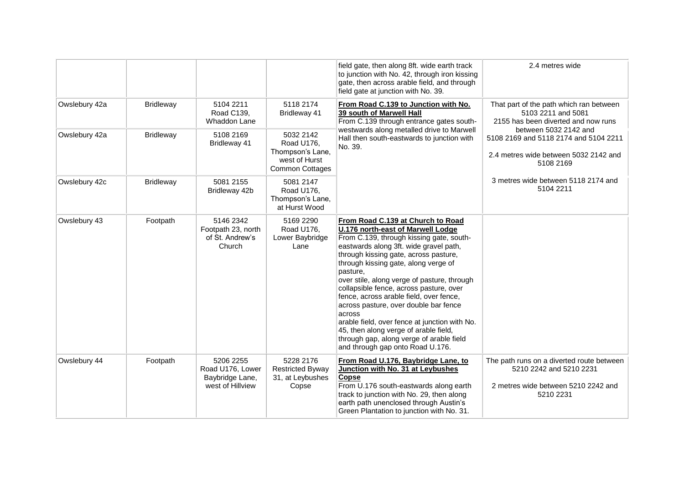|               |                  |                                                                      |                                                                                        | field gate, then along 8ft. wide earth track<br>to junction with No. 42, through iron kissing<br>gate, then across arable field, and through<br>field gate at junction with No. 39.                                                                                                                                                                                                                                                                                                                                                                                                                                         | 2.4 metres wide                                                                                                          |                                                                                                         |
|---------------|------------------|----------------------------------------------------------------------|----------------------------------------------------------------------------------------|-----------------------------------------------------------------------------------------------------------------------------------------------------------------------------------------------------------------------------------------------------------------------------------------------------------------------------------------------------------------------------------------------------------------------------------------------------------------------------------------------------------------------------------------------------------------------------------------------------------------------------|--------------------------------------------------------------------------------------------------------------------------|---------------------------------------------------------------------------------------------------------|
| Owslebury 42a | Bridleway        | 5104 2211<br>Road C139,<br>Whaddon Lane                              | 5118 2174<br>Bridleway 41                                                              | From Road C.139 to Junction with No.<br>39 south of Marwell Hall<br>From C.139 through entrance gates south-                                                                                                                                                                                                                                                                                                                                                                                                                                                                                                                | That part of the path which ran between<br>5103 2211 and 5081<br>2155 has been diverted and now runs                     |                                                                                                         |
| Owslebury 42a | <b>Bridleway</b> | 5108 2169<br>Bridleway 41                                            | 5032 2142<br>Road U176.<br>Thompson's Lane,<br>west of Hurst<br><b>Common Cottages</b> | westwards along metalled drive to Marwell<br>Hall then south-eastwards to junction with<br>No. 39.                                                                                                                                                                                                                                                                                                                                                                                                                                                                                                                          | 5108 2169                                                                                                                | between 5032 2142 and<br>5108 2169 and 5118 2174 and 5104 2211<br>2.4 metres wide between 5032 2142 and |
| Owslebury 42c | <b>Bridleway</b> | 5081 2155<br>Bridleway 42b                                           | 5081 2147<br>Road U176,<br>Thompson's Lane,<br>at Hurst Wood                           |                                                                                                                                                                                                                                                                                                                                                                                                                                                                                                                                                                                                                             | 3 metres wide between 5118 2174 and<br>5104 2211                                                                         |                                                                                                         |
| Owslebury 43  | Footpath         | 5146 2342<br>Footpath 23, north<br>of St. Andrew's<br>Church         | 5169 2290<br>Road U176,<br>Lower Baybridge<br>Lane                                     | From Road C.139 at Church to Road<br>U.176 north-east of Marwell Lodge<br>From C.139, through kissing gate, south-<br>eastwards along 3ft. wide gravel path,<br>through kissing gate, across pasture,<br>through kissing gate, along verge of<br>pasture,<br>over stile, along verge of pasture, through<br>collapsible fence, across pasture, over<br>fence, across arable field, over fence,<br>across pasture, over double bar fence<br>across<br>arable field, over fence at junction with No.<br>45, then along verge of arable field,<br>through gap, along verge of arable field<br>and through gap onto Road U.176. |                                                                                                                          |                                                                                                         |
| Owslebury 44  | Footpath         | 5206 2255<br>Road U176, Lower<br>Baybridge Lane,<br>west of Hillview | 5228 2176<br><b>Restricted Byway</b><br>31, at Leybushes<br>Copse                      | From Road U.176, Baybridge Lane, to<br>Junction with No. 31 at Leybushes<br><b>Copse</b><br>From U.176 south-eastwards along earth<br>track to junction with No. 29, then along<br>earth path unenclosed through Austin's<br>Green Plantation to junction with No. 31.                                                                                                                                                                                                                                                                                                                                                      | The path runs on a diverted route between<br>5210 2242 and 5210 2231<br>2 metres wide between 5210 2242 and<br>5210 2231 |                                                                                                         |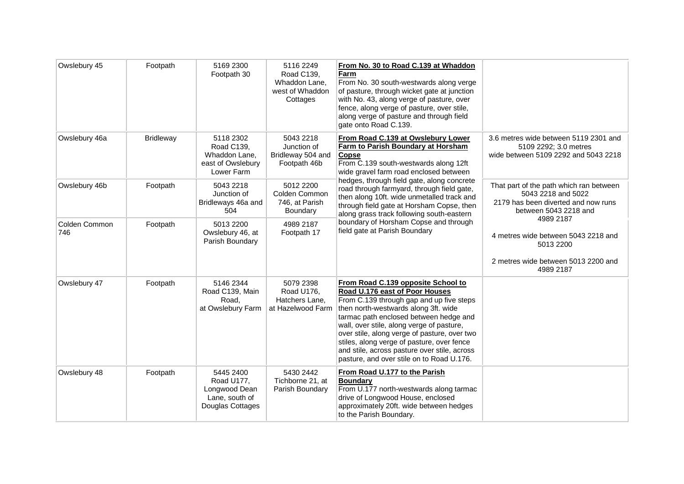| Owslebury 45         | Footpath         | 5169 2300<br>Footpath 30                                                       | 5116 2249<br>Road C139,<br>Whaddon Lane,<br>west of Whaddon<br>Cottages | From No. 30 to Road C.139 at Whaddon<br>Farm<br>From No. 30 south-westwards along verge<br>of pasture, through wicket gate at junction<br>with No. 43, along verge of pasture, over<br>fence, along verge of pasture, over stile,<br>along verge of pasture and through field<br>gate onto Road C.139.                                                                                                                                                                             |                                                                                                                               |
|----------------------|------------------|--------------------------------------------------------------------------------|-------------------------------------------------------------------------|------------------------------------------------------------------------------------------------------------------------------------------------------------------------------------------------------------------------------------------------------------------------------------------------------------------------------------------------------------------------------------------------------------------------------------------------------------------------------------|-------------------------------------------------------------------------------------------------------------------------------|
| Owslebury 46a        | <b>Bridleway</b> | 5118 2302<br>Road C139,<br>Whaddon Lane,<br>east of Owslebury<br>Lower Farm    | 5043 2218<br>Junction of<br>Bridleway 504 and<br>Footpath 46b           | From Road C.139 at Owslebury Lower<br>Farm to Parish Boundary at Horsham<br>Copse<br>From C.139 south-westwards along 12ft<br>wide gravel farm road enclosed between<br>hedges, through field gate, along concrete<br>road through farmyard, through field gate,<br>then along 10ft. wide unmetalled track and<br>through field gate at Horsham Copse, then<br>along grass track following south-eastern<br>boundary of Horsham Copse and through<br>field gate at Parish Boundary | 3.6 metres wide between 5119 2301 and<br>5109 2292; 3.0 metres<br>wide between 5109 2292 and 5043 2218                        |
| Owslebury 46b        | Footpath         | 5043 2218<br>Junction of<br>Bridleways 46a and<br>504                          | 5012 2200<br>Colden Common<br>746, at Parish<br>Boundary                |                                                                                                                                                                                                                                                                                                                                                                                                                                                                                    | That part of the path which ran between<br>5043 2218 and 5022<br>2179 has been diverted and now runs<br>between 5043 2218 and |
| Colden Common<br>746 | Footpath         | 5013 2200<br>Owslebury 46, at<br>Parish Boundary                               | 4989 2187<br>Footpath 17                                                |                                                                                                                                                                                                                                                                                                                                                                                                                                                                                    | 4989 2187<br>4 metres wide between 5043 2218 and<br>5013 2200<br>2 metres wide between 5013 2200 and<br>4989 2187             |
| Owslebury 47         | Footpath         | 5146 2344<br>Road C139, Main<br>Road,<br>at Owslebury Farm                     | 5079 2398<br>Road U176,<br>Hatchers Lane.<br>at Hazelwood Farm          | From Road C.139 opposite School to<br>Road U.176 east of Poor Houses<br>From C.139 through gap and up five steps<br>then north-westwards along 3ft. wide<br>tarmac path enclosed between hedge and<br>wall, over stile, along verge of pasture,<br>over stile, along verge of pasture, over two<br>stiles, along verge of pasture, over fence<br>and stile, across pasture over stile, across<br>pasture, and over stile on to Road U.176.                                         |                                                                                                                               |
| Owslebury 48         | Footpath         | 5445 2400<br>Road U177,<br>Longwood Dean<br>Lane, south of<br>Douglas Cottages | 5430 2442<br>Tichborne 21, at<br>Parish Boundary                        | From Road U.177 to the Parish<br><b>Boundary</b><br>From U.177 north-westwards along tarmac<br>drive of Longwood House, enclosed<br>approximately 20ft. wide between hedges<br>to the Parish Boundary.                                                                                                                                                                                                                                                                             |                                                                                                                               |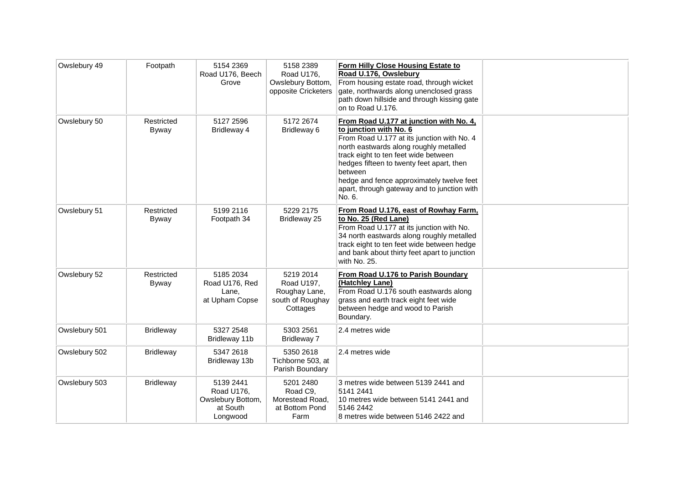| Owslebury 49  | Footpath            | 5154 2369<br>Road U176, Beech<br>Grove                               | 5158 2389<br>Road U176,<br>Owslebury Bottom,<br>opposite Cricketers      | Form Hilly Close Housing Estate to<br>Road U.176, Owslebury<br>From housing estate road, through wicket<br>gate, northwards along unenclosed grass<br>path down hillside and through kissing gate<br>on to Road U.176.                                                                                                                                          |  |
|---------------|---------------------|----------------------------------------------------------------------|--------------------------------------------------------------------------|-----------------------------------------------------------------------------------------------------------------------------------------------------------------------------------------------------------------------------------------------------------------------------------------------------------------------------------------------------------------|--|
| Owslebury 50  | Restricted<br>Byway | 5127 2596<br>Bridleway 4                                             | 5172 2674<br>Bridleway 6                                                 | From Road U.177 at junction with No. 4,<br>to junction with No. 6<br>From Road U.177 at its junction with No. 4<br>north eastwards along roughly metalled<br>track eight to ten feet wide between<br>hedges fifteen to twenty feet apart, then<br>between<br>hedge and fence approximately twelve feet<br>apart, through gateway and to junction with<br>No. 6. |  |
| Owslebury 51  | Restricted<br>Byway | 5199 2116<br>Footpath 34                                             | 5229 2175<br>Bridleway 25                                                | From Road U.176, east of Rowhay Farm,<br>to No. 25 (Red Lane)<br>From Road U.177 at its junction with No.<br>34 north eastwards along roughly metalled<br>track eight to ten feet wide between hedge<br>and bank about thirty feet apart to junction<br>with No. 25.                                                                                            |  |
| Owslebury 52  | Restricted<br>Byway | 5185 2034<br>Road U176, Red<br>Lane.<br>at Upham Copse               | 5219 2014<br>Road U197,<br>Roughay Lane,<br>south of Roughay<br>Cottages | From Road U.176 to Parish Boundary<br>(Hatchley Lane)<br>From Road U.176 south eastwards along<br>grass and earth track eight feet wide<br>between hedge and wood to Parish<br>Boundary.                                                                                                                                                                        |  |
| Owslebury 501 | <b>Bridleway</b>    | 5327 2548<br>Bridleway 11b                                           | 5303 2561<br>Bridleway 7                                                 | 2.4 metres wide                                                                                                                                                                                                                                                                                                                                                 |  |
| Owslebury 502 | <b>Bridleway</b>    | 5347 2618<br>Bridleway 13b                                           | 5350 2618<br>Tichborne 503, at<br>Parish Boundary                        | 2.4 metres wide                                                                                                                                                                                                                                                                                                                                                 |  |
| Owslebury 503 | <b>Bridleway</b>    | 5139 2441<br>Road U176,<br>Owslebury Bottom,<br>at South<br>Longwood | 5201 2480<br>Road C9,<br>Morestead Road,<br>at Bottom Pond<br>Farm       | 3 metres wide between 5139 2441 and<br>5141 2441<br>10 metres wide between 5141 2441 and<br>5146 2442<br>8 metres wide between 5146 2422 and                                                                                                                                                                                                                    |  |